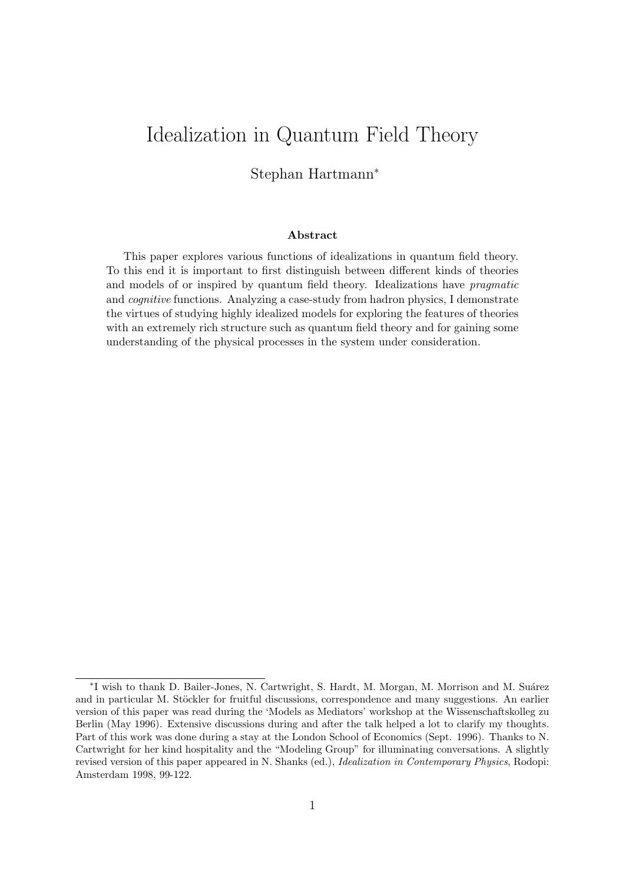# Idealization in Quantum Field Theory

#### Stephan Hartmann<sup>∗</sup>

#### Abstract

This paper explores various functions of idealizations in quantum field theory. To this end it is important to first distinguish between different kinds of theories and models of or inspired by quantum field theory. Idealizations have pragmatic and cognitive functions. Analyzing a case-study from hadron physics, I demonstrate the virtues of studying highly idealized models for exploring the features of theories with an extremely rich structure such as quantum field theory and for gaining some understanding of the physical processes in the system under consideration.

<sup>\*</sup>I wish to thank D. Bailer-Jones, N. Cartwright, S. Hardt, M. Morgan, M. Morrison and M. Suárez and in particular M. Stöckler for fruitful discussions, correspondence and many suggestions. An earlier version of this paper was read during the 'Models as Mediators' workshop at the Wissenschaftskolleg zu Berlin (May 1996). Extensive discussions during and after the talk helped a lot to clarify my thoughts. Part of this work was done during a stay at the London School of Economics (Sept. 1996). Thanks to N. Cartwright for her kind hospitality and the "Modeling Group" for illuminating conversations. A slightly revised version of this paper appeared in N. Shanks (ed.), Idealization in Contemporary Physics, Rodopi: Amsterdam 1998, 99-122.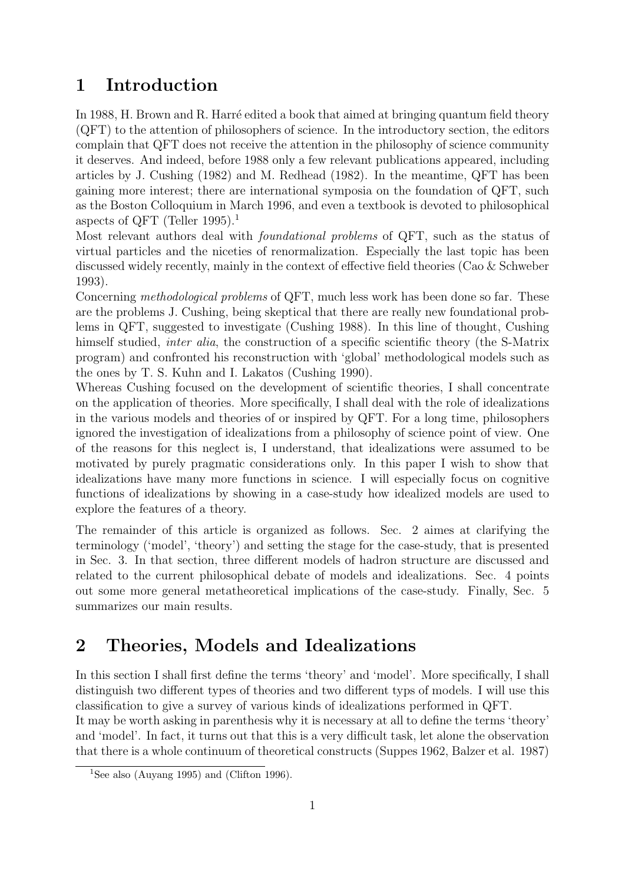## 1 Introduction

In 1988, H. Brown and R. Harré edited a book that aimed at bringing quantum field theory (QFT) to the attention of philosophers of science. In the introductory section, the editors complain that QFT does not receive the attention in the philosophy of science community it deserves. And indeed, before 1988 only a few relevant publications appeared, including articles by J. Cushing (1982) and M. Redhead (1982). In the meantime, QFT has been gaining more interest; there are international symposia on the foundation of QFT, such as the Boston Colloquium in March 1996, and even a textbook is devoted to philosophical aspects of QFT (Teller 1995).<sup>1</sup>

Most relevant authors deal with foundational problems of QFT, such as the status of virtual particles and the niceties of renormalization. Especially the last topic has been discussed widely recently, mainly in the context of effective field theories (Cao & Schweber 1993).

Concerning methodological problems of QFT, much less work has been done so far. These are the problems J. Cushing, being skeptical that there are really new foundational problems in QFT, suggested to investigate (Cushing 1988). In this line of thought, Cushing himself studied, *inter alia*, the construction of a specific scientific theory (the S-Matrix program) and confronted his reconstruction with 'global' methodological models such as the ones by T. S. Kuhn and I. Lakatos (Cushing 1990).

Whereas Cushing focused on the development of scientific theories, I shall concentrate on the application of theories. More specifically, I shall deal with the role of idealizations in the various models and theories of or inspired by QFT. For a long time, philosophers ignored the investigation of idealizations from a philosophy of science point of view. One of the reasons for this neglect is, I understand, that idealizations were assumed to be motivated by purely pragmatic considerations only. In this paper I wish to show that idealizations have many more functions in science. I will especially focus on cognitive functions of idealizations by showing in a case-study how idealized models are used to explore the features of a theory.

The remainder of this article is organized as follows. Sec. 2 aimes at clarifying the terminology ('model', 'theory') and setting the stage for the case-study, that is presented in Sec. 3. In that section, three different models of hadron structure are discussed and related to the current philosophical debate of models and idealizations. Sec. 4 points out some more general metatheoretical implications of the case-study. Finally, Sec. 5 summarizes our main results.

## 2 Theories, Models and Idealizations

In this section I shall first define the terms 'theory' and 'model'. More specifically, I shall distinguish two different types of theories and two different typs of models. I will use this classification to give a survey of various kinds of idealizations performed in QFT.

It may be worth asking in parenthesis why it is necessary at all to define the terms 'theory' and 'model'. In fact, it turns out that this is a very difficult task, let alone the observation that there is a whole continuum of theoretical constructs (Suppes 1962, Balzer et al. 1987)

<sup>&</sup>lt;sup>1</sup>See also (Auyang 1995) and (Clifton 1996).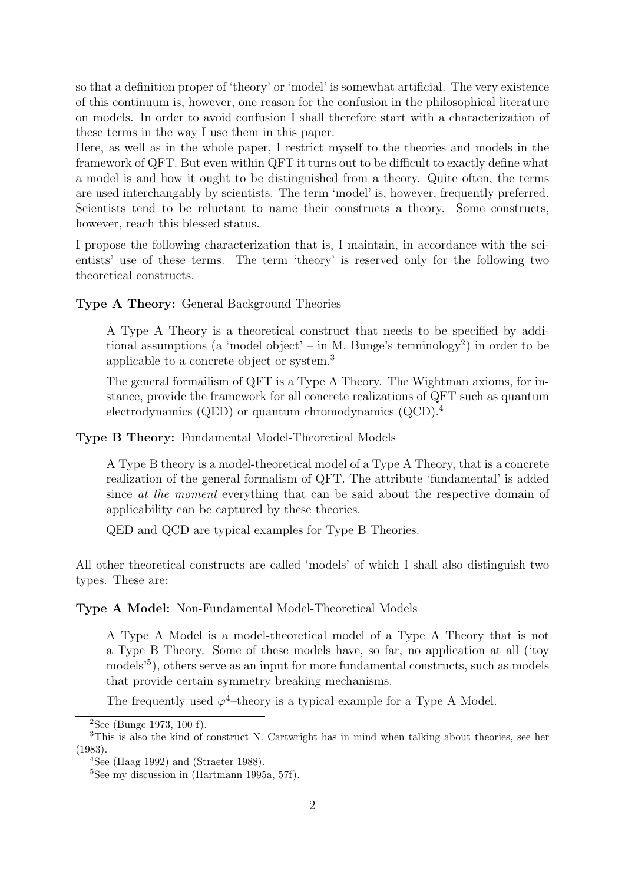so that a definition proper of 'theory' or 'model' is somewhat artificial. The very existence of this continuum is, however, one reason for the confusion in the philosophical literature on models. In order to avoid confusion I shall therefore start with a characterization of these terms in the way I use them in this paper.

Here, as well as in the whole paper, I restrict myself to the theories and models in the framework of QFT. But even within QFT it turns out to be difficult to exactly define what a model is and how it ought to be distinguished from a theory. Quite often, the terms are used interchangably by scientists. The term 'model' is, however, frequently preferred. Scientists tend to be reluctant to name their constructs a theory. Some constructs, however, reach this blessed status.

I propose the following characterization that is, I maintain, in accordance with the scientists' use of these terms. The term 'theory' is reserved only for the following two theoretical constructs.

Type A Theory: General Background Theories

A Type A Theory is a theoretical construct that needs to be specified by additional assumptions (a 'model object' – in M. Bunge's terminology<sup>2</sup> ) in order to be applicable to a concrete object or system.<sup>3</sup>

The general formailism of QFT is a Type A Theory. The Wightman axioms, for instance, provide the framework for all concrete realizations of QFT such as quantum electrodynamics (QED) or quantum chromodynamics (QCD).<sup>4</sup>

Type B Theory: Fundamental Model-Theoretical Models

A Type B theory is a model-theoretical model of a Type A Theory, that is a concrete realization of the general formalism of QFT. The attribute 'fundamental' is added since at the moment everything that can be said about the respective domain of applicability can be captured by these theories.

QED and QCD are typical examples for Type B Theories.

All other theoretical constructs are called 'models' of which I shall also distinguish two types. These are:

Type A Model: Non-Fundamental Model-Theoretical Models

A Type A Model is a model-theoretical model of a Type A Theory that is not a Type B Theory. Some of these models have, so far, no application at all ('toy models<sup>55</sup>), others serve as an input for more fundamental constructs, such as models that provide certain symmetry breaking mechanisms.

The frequently used  $\varphi^4$ -theory is a typical example for a Type A Model.

<sup>2</sup>See (Bunge 1973, 100 f).

<sup>3</sup>This is also the kind of construct N. Cartwright has in mind when talking about theories, see her (1983).

 $4$ See (Haag 1992) and (Straeter 1988).

 ${}^{5}$ See my discussion in (Hartmann 1995a, 57f).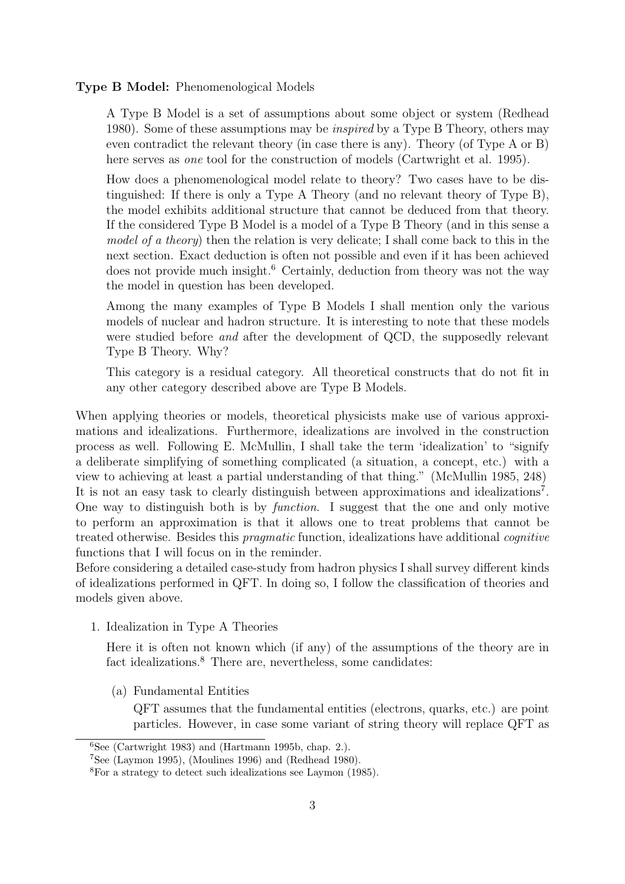#### Type B Model: Phenomenological Models

A Type B Model is a set of assumptions about some object or system (Redhead 1980). Some of these assumptions may be inspired by a Type B Theory, others may even contradict the relevant theory (in case there is any). Theory (of Type A or B) here serves as *one* tool for the construction of models (Cartwright et al. 1995).

How does a phenomenological model relate to theory? Two cases have to be distinguished: If there is only a Type A Theory (and no relevant theory of Type B), the model exhibits additional structure that cannot be deduced from that theory. If the considered Type B Model is a model of a Type B Theory (and in this sense a model of a theory) then the relation is very delicate; I shall come back to this in the next section. Exact deduction is often not possible and even if it has been achieved does not provide much insight.<sup>6</sup> Certainly, deduction from theory was not the way the model in question has been developed.

Among the many examples of Type B Models I shall mention only the various models of nuclear and hadron structure. It is interesting to note that these models were studied before *and* after the development of QCD, the supposedly relevant Type B Theory. Why?

This category is a residual category. All theoretical constructs that do not fit in any other category described above are Type B Models.

When applying theories or models, theoretical physicists make use of various approximations and idealizations. Furthermore, idealizations are involved in the construction process as well. Following E. McMullin, I shall take the term 'idealization' to "signify a deliberate simplifying of something complicated (a situation, a concept, etc.) with a view to achieving at least a partial understanding of that thing." (McMullin 1985, 248) It is not an easy task to clearly distinguish between approximations and idealizations<sup>7</sup>. One way to distinguish both is by function. I suggest that the one and only motive to perform an approximation is that it allows one to treat problems that cannot be treated otherwise. Besides this pragmatic function, idealizations have additional cognitive functions that I will focus on in the reminder.

Before considering a detailed case-study from hadron physics I shall survey different kinds of idealizations performed in QFT. In doing so, I follow the classification of theories and models given above.

1. Idealization in Type A Theories

Here it is often not known which (if any) of the assumptions of the theory are in fact idealizations.<sup>8</sup> There are, nevertheless, some candidates:

(a) Fundamental Entities

QFT assumes that the fundamental entities (electrons, quarks, etc.) are point particles. However, in case some variant of string theory will replace QFT as

 ${}^{6}$ See (Cartwright 1983) and (Hartmann 1995b, chap. 2.).

<sup>7</sup>See (Laymon 1995), (Moulines 1996) and (Redhead 1980).

<sup>8</sup>For a strategy to detect such idealizations see Laymon (1985).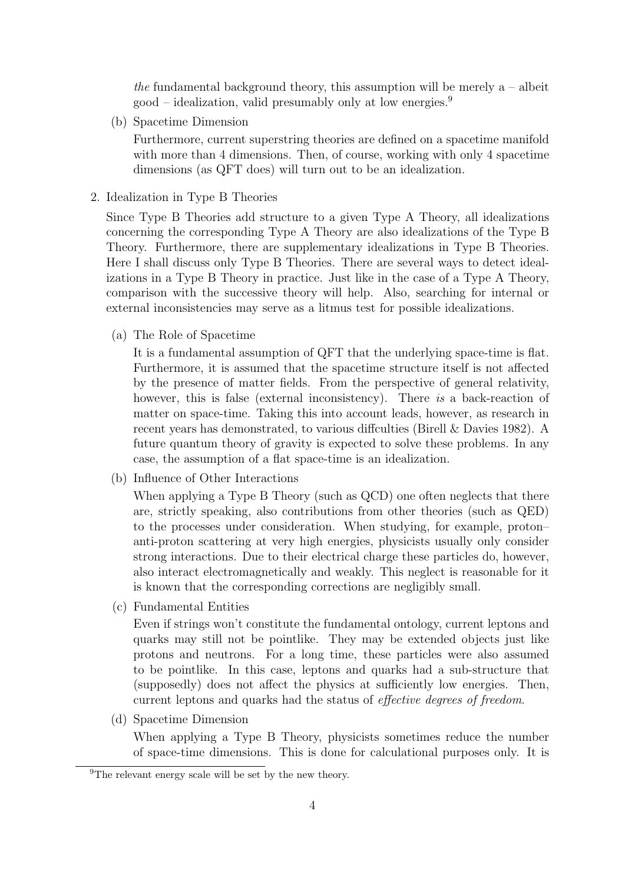the fundamental background theory, this assumption will be merely  $a - ab$  $\text{good}$  – idealization, valid presumably only at low energies.<sup>9</sup>

(b) Spacetime Dimension

Furthermore, current superstring theories are defined on a spacetime manifold with more than 4 dimensions. Then, of course, working with only 4 spacetime dimensions (as QFT does) will turn out to be an idealization.

2. Idealization in Type B Theories

Since Type B Theories add structure to a given Type A Theory, all idealizations concerning the corresponding Type A Theory are also idealizations of the Type B Theory. Furthermore, there are supplementary idealizations in Type B Theories. Here I shall discuss only Type B Theories. There are several ways to detect idealizations in a Type B Theory in practice. Just like in the case of a Type A Theory, comparison with the successive theory will help. Also, searching for internal or external inconsistencies may serve as a litmus test for possible idealizations.

(a) The Role of Spacetime

It is a fundamental assumption of QFT that the underlying space-time is flat. Furthermore, it is assumed that the spacetime structure itself is not affected by the presence of matter fields. From the perspective of general relativity, however, this is false (external inconsistency). There is a back-reaction of matter on space-time. Taking this into account leads, however, as research in recent years has demonstrated, to various diffculties (Birell & Davies 1982). A future quantum theory of gravity is expected to solve these problems. In any case, the assumption of a flat space-time is an idealization.

(b) Influence of Other Interactions

When applying a Type B Theory (such as QCD) one often neglects that there are, strictly speaking, also contributions from other theories (such as QED) to the processes under consideration. When studying, for example, proton– anti-proton scattering at very high energies, physicists usually only consider strong interactions. Due to their electrical charge these particles do, however, also interact electromagnetically and weakly. This neglect is reasonable for it is known that the corresponding corrections are negligibly small.

(c) Fundamental Entities

Even if strings won't constitute the fundamental ontology, current leptons and quarks may still not be pointlike. They may be extended objects just like protons and neutrons. For a long time, these particles were also assumed to be pointlike. In this case, leptons and quarks had a sub-structure that (supposedly) does not affect the physics at sufficiently low energies. Then, current leptons and quarks had the status of effective degrees of freedom.

(d) Spacetime Dimension

When applying a Type B Theory, physicists sometimes reduce the number of space-time dimensions. This is done for calculational purposes only. It is

<sup>9</sup>The relevant energy scale will be set by the new theory.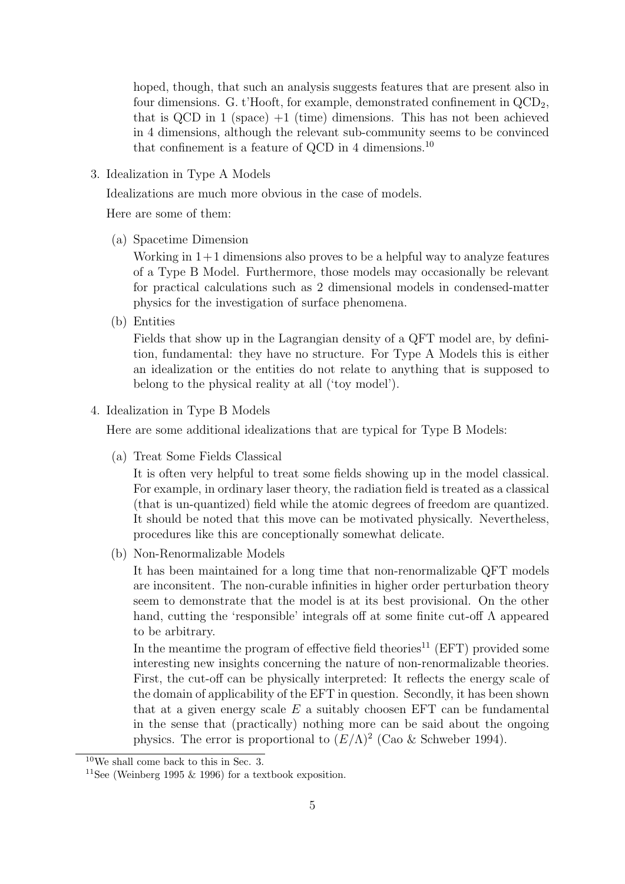hoped, though, that such an analysis suggests features that are present also in four dimensions. G. t'Hooft, for example, demonstrated confinement in  $\text{QCD}_2$ , that is QCD in 1 (space)  $+1$  (time) dimensions. This has not been achieved in 4 dimensions, although the relevant sub-community seems to be convinced that confinement is a feature of QCD in 4 dimensions.<sup>10</sup>

3. Idealization in Type A Models

Idealizations are much more obvious in the case of models.

Here are some of them:

(a) Spacetime Dimension

Working in  $1+1$  dimensions also proves to be a helpful way to analyze features of a Type B Model. Furthermore, those models may occasionally be relevant for practical calculations such as 2 dimensional models in condensed-matter physics for the investigation of surface phenomena.

(b) Entities

Fields that show up in the Lagrangian density of a QFT model are, by definition, fundamental: they have no structure. For Type A Models this is either an idealization or the entities do not relate to anything that is supposed to belong to the physical reality at all ('toy model').

4. Idealization in Type B Models

Here are some additional idealizations that are typical for Type B Models:

(a) Treat Some Fields Classical

It is often very helpful to treat some fields showing up in the model classical. For example, in ordinary laser theory, the radiation field is treated as a classical (that is un-quantized) field while the atomic degrees of freedom are quantized. It should be noted that this move can be motivated physically. Nevertheless, procedures like this are conceptionally somewhat delicate.

(b) Non-Renormalizable Models

It has been maintained for a long time that non-renormalizable QFT models are inconsitent. The non-curable infinities in higher order perturbation theory seem to demonstrate that the model is at its best provisional. On the other hand, cutting the 'responsible' integrals off at some finite cut-off  $\Lambda$  appeared to be arbitrary.

In the meantime the program of effective field theories<sup>11</sup> (EFT) provided some interesting new insights concerning the nature of non-renormalizable theories. First, the cut-off can be physically interpreted: It reflects the energy scale of the domain of applicability of the EFT in question. Secondly, it has been shown that at a given energy scale  $E$  a suitably choosen EFT can be fundamental in the sense that (practically) nothing more can be said about the ongoing physics. The error is proportional to  $(E/\Lambda)^2$  (Cao & Schweber 1994).

<sup>10</sup>We shall come back to this in Sec. 3.

<sup>&</sup>lt;sup>11</sup>See (Weinberg 1995  $\&$  1996) for a textbook exposition.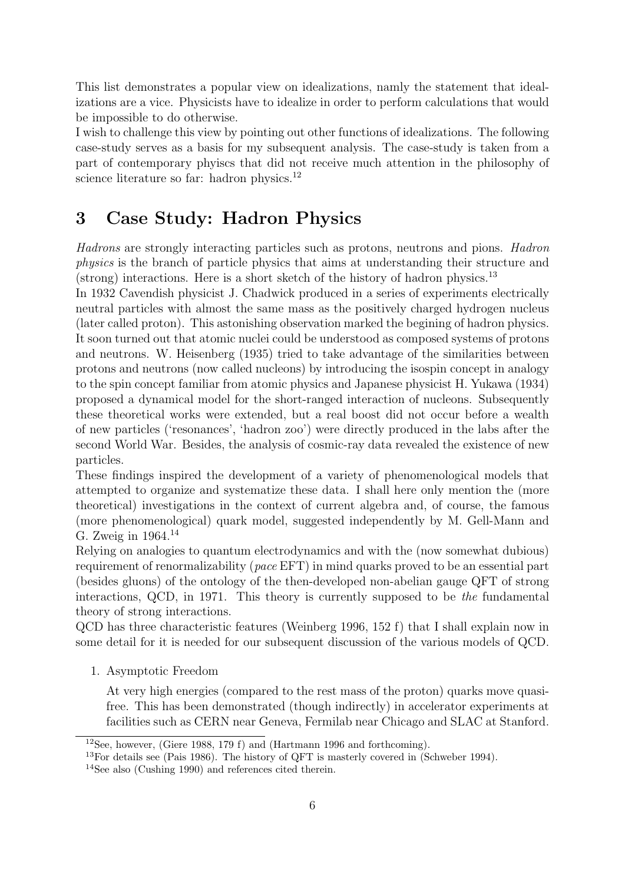This list demonstrates a popular view on idealizations, namly the statement that idealizations are a vice. Physicists have to idealize in order to perform calculations that would be impossible to do otherwise.

I wish to challenge this view by pointing out other functions of idealizations. The following case-study serves as a basis for my subsequent analysis. The case-study is taken from a part of contemporary phyiscs that did not receive much attention in the philosophy of science literature so far: hadron physics.<sup>12</sup>

## 3 Case Study: Hadron Physics

Hadrons are strongly interacting particles such as protons, neutrons and pions. Hadron physics is the branch of particle physics that aims at understanding their structure and (strong) interactions. Here is a short sketch of the history of hadron physics.<sup>13</sup>

In 1932 Cavendish physicist J. Chadwick produced in a series of experiments electrically neutral particles with almost the same mass as the positively charged hydrogen nucleus (later called proton). This astonishing observation marked the begining of hadron physics. It soon turned out that atomic nuclei could be understood as composed systems of protons and neutrons. W. Heisenberg (1935) tried to take advantage of the similarities between protons and neutrons (now called nucleons) by introducing the isospin concept in analogy to the spin concept familiar from atomic physics and Japanese physicist H. Yukawa (1934) proposed a dynamical model for the short-ranged interaction of nucleons. Subsequently these theoretical works were extended, but a real boost did not occur before a wealth of new particles ('resonances', 'hadron zoo') were directly produced in the labs after the second World War. Besides, the analysis of cosmic-ray data revealed the existence of new particles.

These findings inspired the development of a variety of phenomenological models that attempted to organize and systematize these data. I shall here only mention the (more theoretical) investigations in the context of current algebra and, of course, the famous (more phenomenological) quark model, suggested independently by M. Gell-Mann and G. Zweig in 1964.<sup>14</sup>

Relying on analogies to quantum electrodynamics and with the (now somewhat dubious) requirement of renormalizability (pace EFT) in mind quarks proved to be an essential part (besides gluons) of the ontology of the then-developed non-abelian gauge QFT of strong interactions, QCD, in 1971. This theory is currently supposed to be the fundamental theory of strong interactions.

QCD has three characteristic features (Weinberg 1996, 152 f) that I shall explain now in some detail for it is needed for our subsequent discussion of the various models of QCD.

1. Asymptotic Freedom

At very high energies (compared to the rest mass of the proton) quarks move quasifree. This has been demonstrated (though indirectly) in accelerator experiments at facilities such as CERN near Geneva, Fermilab near Chicago and SLAC at Stanford.

<sup>&</sup>lt;sup>12</sup>See, however, (Giere 1988, 179 f) and (Hartmann 1996 and forthcoming).

<sup>13</sup>For details see (Pais 1986). The history of QFT is masterly covered in (Schweber 1994).

<sup>14</sup>See also (Cushing 1990) and references cited therein.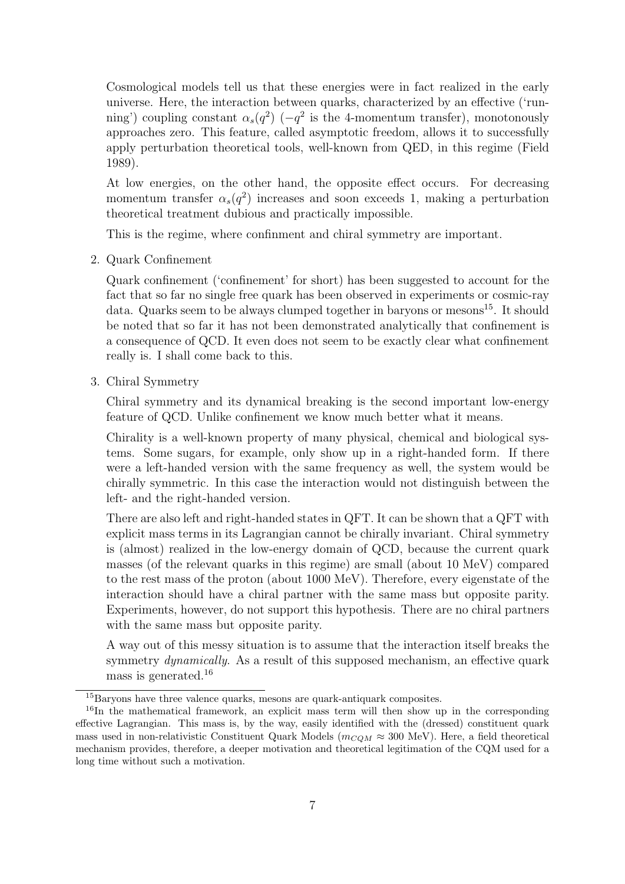Cosmological models tell us that these energies were in fact realized in the early universe. Here, the interaction between quarks, characterized by an effective ('running') coupling constant  $\alpha_s(q^2)$  ( $-q^2$  is the 4-momentum transfer), monotonously approaches zero. This feature, called asymptotic freedom, allows it to successfully apply perturbation theoretical tools, well-known from QED, in this regime (Field 1989).

At low energies, on the other hand, the opposite effect occurs. For decreasing momentum transfer  $\alpha_s(q^2)$  increases and soon exceeds 1, making a perturbation theoretical treatment dubious and practically impossible.

This is the regime, where confinment and chiral symmetry are important.

2. Quark Confinement

Quark confinement ('confinement' for short) has been suggested to account for the fact that so far no single free quark has been observed in experiments or cosmic-ray data. Quarks seem to be always clumped together in baryons or mesons<sup>15</sup>. It should be noted that so far it has not been demonstrated analytically that confinement is a consequence of QCD. It even does not seem to be exactly clear what confinement really is. I shall come back to this.

3. Chiral Symmetry

Chiral symmetry and its dynamical breaking is the second important low-energy feature of QCD. Unlike confinement we know much better what it means.

Chirality is a well-known property of many physical, chemical and biological systems. Some sugars, for example, only show up in a right-handed form. If there were a left-handed version with the same frequency as well, the system would be chirally symmetric. In this case the interaction would not distinguish between the left- and the right-handed version.

There are also left and right-handed states in QFT. It can be shown that a QFT with explicit mass terms in its Lagrangian cannot be chirally invariant. Chiral symmetry is (almost) realized in the low-energy domain of QCD, because the current quark masses (of the relevant quarks in this regime) are small (about 10 MeV) compared to the rest mass of the proton (about 1000 MeV). Therefore, every eigenstate of the interaction should have a chiral partner with the same mass but opposite parity. Experiments, however, do not support this hypothesis. There are no chiral partners with the same mass but opposite parity.

A way out of this messy situation is to assume that the interaction itself breaks the symmetry *dynamically*. As a result of this supposed mechanism, an effective quark mass is generated.<sup>16</sup>

<sup>&</sup>lt;sup>15</sup>Baryons have three valence quarks, mesons are quark-antiquark composites.

<sup>&</sup>lt;sup>16</sup>In the mathematical framework, an explicit mass term will then show up in the corresponding effective Lagrangian. This mass is, by the way, easily identified with the (dressed) constituent quark mass used in non-relativistic Constituent Quark Models ( $m_{COM} \approx 300$  MeV). Here, a field theoretical mechanism provides, therefore, a deeper motivation and theoretical legitimation of the CQM used for a long time without such a motivation.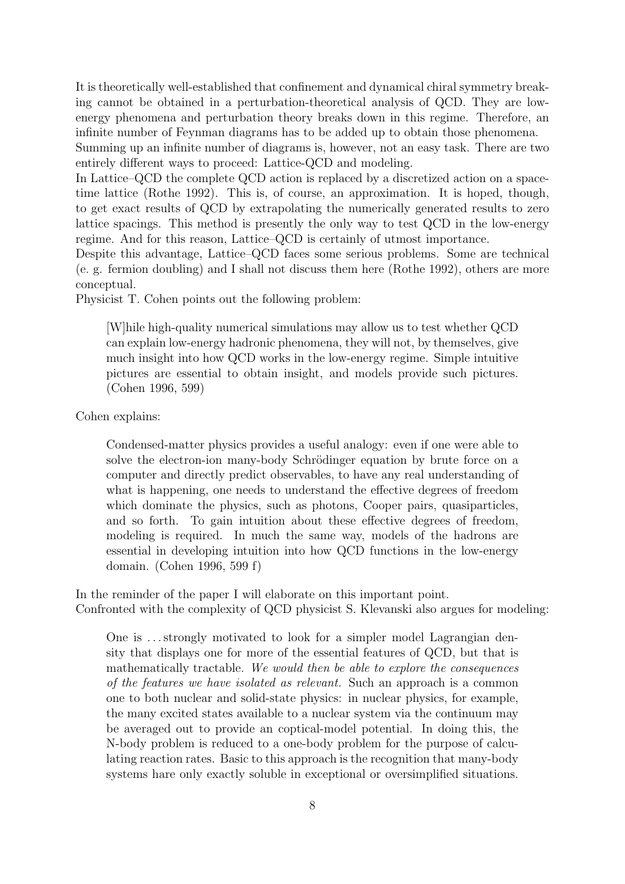It is theoretically well-established that confinement and dynamical chiral symmetry breaking cannot be obtained in a perturbation-theoretical analysis of QCD. They are lowenergy phenomena and perturbation theory breaks down in this regime. Therefore, an infinite number of Feynman diagrams has to be added up to obtain those phenomena.

Summing up an infinite number of diagrams is, however, not an easy task. There are two entirely different ways to proceed: Lattice-QCD and modeling.

In Lattice–QCD the complete QCD action is replaced by a discretized action on a spacetime lattice (Rothe 1992). This is, of course, an approximation. It is hoped, though, to get exact results of QCD by extrapolating the numerically generated results to zero lattice spacings. This method is presently the only way to test QCD in the low-energy regime. And for this reason, Lattice–QCD is certainly of utmost importance.

Despite this advantage, Lattice–QCD faces some serious problems. Some are technical (e. g. fermion doubling) and I shall not discuss them here (Rothe 1992), others are more conceptual.

Physicist T. Cohen points out the following problem:

[W]hile high-quality numerical simulations may allow us to test whether QCD can explain low-energy hadronic phenomena, they will not, by themselves, give much insight into how QCD works in the low-energy regime. Simple intuitive pictures are essential to obtain insight, and models provide such pictures. (Cohen 1996, 599)

Cohen explains:

Condensed-matter physics provides a useful analogy: even if one were able to solve the electron-ion many-body Schrödinger equation by brute force on a computer and directly predict observables, to have any real understanding of what is happening, one needs to understand the effective degrees of freedom which dominate the physics, such as photons, Cooper pairs, quasiparticles, and so forth. To gain intuition about these effective degrees of freedom, modeling is required. In much the same way, models of the hadrons are essential in developing intuition into how QCD functions in the low-energy domain. (Cohen 1996, 599 f)

In the reminder of the paper I will elaborate on this important point. Confronted with the complexity of QCD physicist S. Klevanski also argues for modeling:

One is . . . strongly motivated to look for a simpler model Lagrangian density that displays one for more of the essential features of QCD, but that is mathematically tractable. We would then be able to explore the consequences of the features we have isolated as relevant. Such an approach is a common one to both nuclear and solid-state physics: in nuclear physics, for example, the many excited states available to a nuclear system via the continuum may be averaged out to provide an coptical-model potential. In doing this, the N-body problem is reduced to a one-body problem for the purpose of calculating reaction rates. Basic to this approach is the recognition that many-body systems hare only exactly soluble in exceptional or oversimplified situations.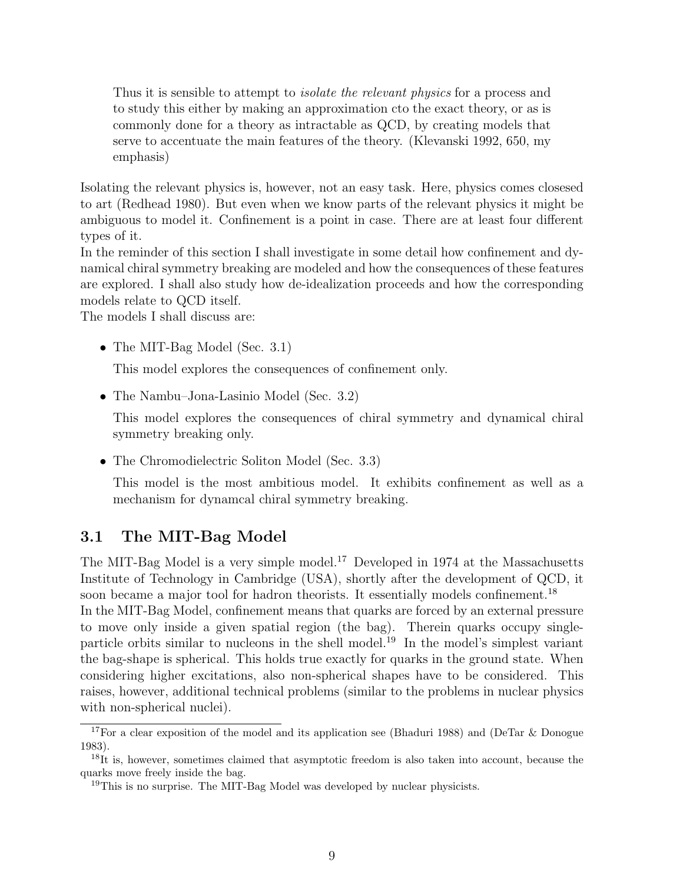Thus it is sensible to attempt to *isolate the relevant physics* for a process and to study this either by making an approximation cto the exact theory, or as is commonly done for a theory as intractable as QCD, by creating models that serve to accentuate the main features of the theory. (Klevanski 1992, 650, my emphasis)

Isolating the relevant physics is, however, not an easy task. Here, physics comes closesed to art (Redhead 1980). But even when we know parts of the relevant physics it might be ambiguous to model it. Confinement is a point in case. There are at least four different types of it.

In the reminder of this section I shall investigate in some detail how confinement and dynamical chiral symmetry breaking are modeled and how the consequences of these features are explored. I shall also study how de-idealization proceeds and how the corresponding models relate to QCD itself.

The models I shall discuss are:

• The MIT-Bag Model (Sec. 3.1)

This model explores the consequences of confinement only.

• The Nambu–Jona-Lasinio Model (Sec. 3.2)

This model explores the consequences of chiral symmetry and dynamical chiral symmetry breaking only.

• The Chromodielectric Soliton Model (Sec. 3.3)

This model is the most ambitious model. It exhibits confinement as well as a mechanism for dynamcal chiral symmetry breaking.

### 3.1 The MIT-Bag Model

The MIT-Bag Model is a very simple model.<sup>17</sup> Developed in 1974 at the Massachusetts Institute of Technology in Cambridge (USA), shortly after the development of QCD, it soon became a major tool for hadron theorists. It essentially models confinement.<sup>18</sup> In the MIT-Bag Model, confinement means that quarks are forced by an external pressure to move only inside a given spatial region (the bag). Therein quarks occupy singleparticle orbits similar to nucleons in the shell model.<sup>19</sup> In the model's simplest variant the bag-shape is spherical. This holds true exactly for quarks in the ground state. When considering higher excitations, also non-spherical shapes have to be considered. This raises, however, additional technical problems (similar to the problems in nuclear physics with non-spherical nuclei).

<sup>&</sup>lt;sup>17</sup>For a clear exposition of the model and its application see (Bhaduri 1988) and (DeTar & Donogue 1983).

<sup>18</sup>It is, however, sometimes claimed that asymptotic freedom is also taken into account, because the quarks move freely inside the bag.

<sup>&</sup>lt;sup>19</sup>This is no surprise. The MIT-Bag Model was developed by nuclear physicists.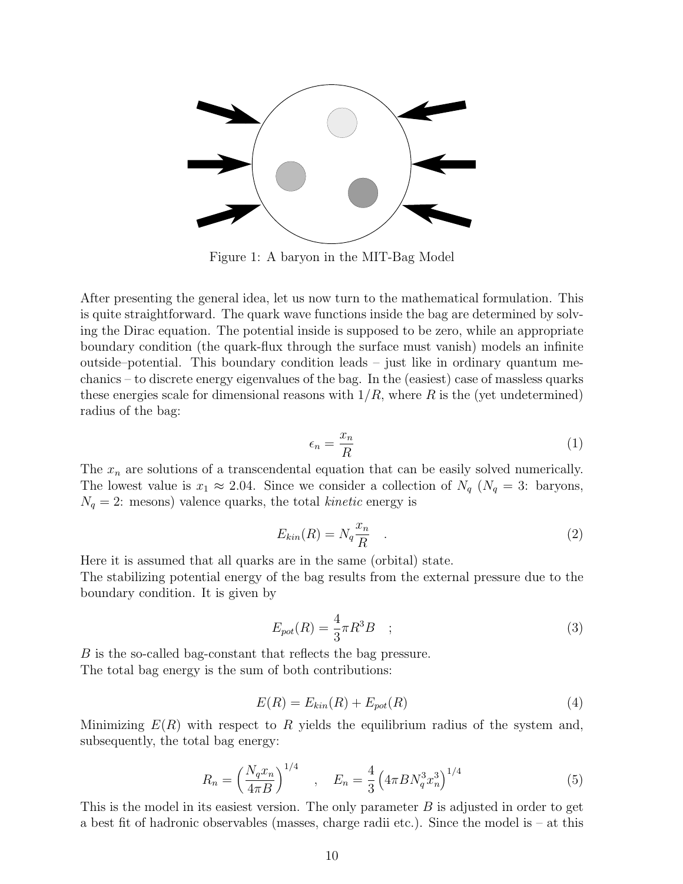

Figure 1: A baryon in the MIT-Bag Model

After presenting the general idea, let us now turn to the mathematical formulation. This is quite straightforward. The quark wave functions inside the bag are determined by solving the Dirac equation. The potential inside is supposed to be zero, while an appropriate boundary condition (the quark-flux through the surface must vanish) models an infinite outside–potential. This boundary condition leads – just like in ordinary quantum mechanics – to discrete energy eigenvalues of the bag. In the (easiest) case of massless quarks these energies scale for dimensional reasons with  $1/R$ , where R is the (yet undetermined) radius of the bag:

$$
\epsilon_n = \frac{x_n}{R} \tag{1}
$$

The  $x_n$  are solutions of a transcendental equation that can be easily solved numerically. The lowest value is  $x_1 \approx 2.04$ . Since we consider a collection of  $N_q$  ( $N_q = 3$ : baryons,  $N_q = 2$ : mesons) valence quarks, the total kinetic energy is

$$
E_{kin}(R) = N_q \frac{x_n}{R} \quad . \tag{2}
$$

Here it is assumed that all quarks are in the same (orbital) state.

The stabilizing potential energy of the bag results from the external pressure due to the boundary condition. It is given by

$$
E_{pot}(R) = \frac{4}{3}\pi R^3 B \quad ; \tag{3}
$$

B is the so-called bag-constant that reflects the bag pressure. The total bag energy is the sum of both contributions:

$$
E(R) = E_{kin}(R) + E_{pot}(R)
$$
\n<sup>(4)</sup>

Minimizing  $E(R)$  with respect to R yields the equilibrium radius of the system and, subsequently, the total bag energy:

$$
R_n = \left(\frac{N_q x_n}{4\pi B}\right)^{1/4} \quad , \quad E_n = \frac{4}{3} \left(4\pi B N_q^3 x_n^3\right)^{1/4} \tag{5}
$$

This is the model in its easiest version. The only parameter  $B$  is adjusted in order to get a best fit of hadronic observables (masses, charge radii etc.). Since the model is – at this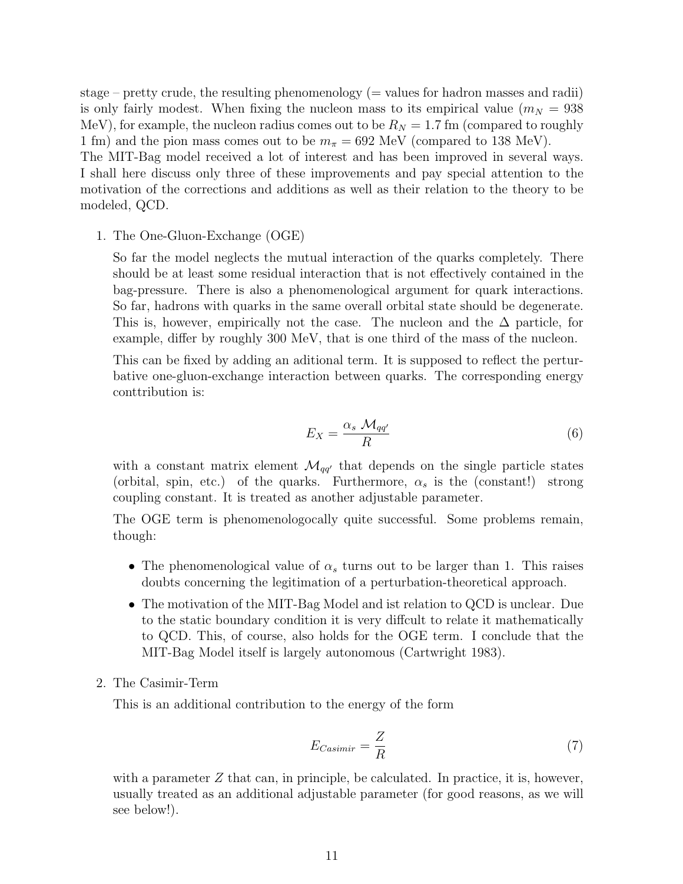stage – pretty crude, the resulting phenomenology  $($  = values for hadron masses and radii) is only fairly modest. When fixing the nucleon mass to its empirical value  $(m<sub>N</sub> = 938$ MeV), for example, the nucleon radius comes out to be  $R_N = 1.7$  fm (compared to roughly 1 fm) and the pion mass comes out to be  $m_{\pi} = 692$  MeV (compared to 138 MeV).

The MIT-Bag model received a lot of interest and has been improved in several ways. I shall here discuss only three of these improvements and pay special attention to the motivation of the corrections and additions as well as their relation to the theory to be modeled, QCD.

1. The One-Gluon-Exchange (OGE)

So far the model neglects the mutual interaction of the quarks completely. There should be at least some residual interaction that is not effectively contained in the bag-pressure. There is also a phenomenological argument for quark interactions. So far, hadrons with quarks in the same overall orbital state should be degenerate. This is, however, empirically not the case. The nucleon and the  $\Delta$  particle, for example, differ by roughly 300 MeV, that is one third of the mass of the nucleon.

This can be fixed by adding an aditional term. It is supposed to reflect the perturbative one-gluon-exchange interaction between quarks. The corresponding energy conttribution is:

$$
E_X = \frac{\alpha_s \ \mathcal{M}_{qq'}}{R} \tag{6}
$$

with a constant matrix element  $\mathcal{M}_{qq'}$  that depends on the single particle states (orbital, spin, etc.) of the quarks. Furthermore,  $\alpha_s$  is the (constant!) strong coupling constant. It is treated as another adjustable parameter.

The OGE term is phenomenologocally quite successful. Some problems remain, though:

- The phenomenological value of  $\alpha_s$  turns out to be larger than 1. This raises doubts concerning the legitimation of a perturbation-theoretical approach.
- The motivation of the MIT-Bag Model and ist relation to QCD is unclear. Due to the static boundary condition it is very diffcult to relate it mathematically to QCD. This, of course, also holds for the OGE term. I conclude that the MIT-Bag Model itself is largely autonomous (Cartwright 1983).
- 2. The Casimir-Term

This is an additional contribution to the energy of the form

$$
E_{\text{Casimir}} = \frac{Z}{R} \tag{7}
$$

with a parameter  $Z$  that can, in principle, be calculated. In practice, it is, however, usually treated as an additional adjustable parameter (for good reasons, as we will see below!).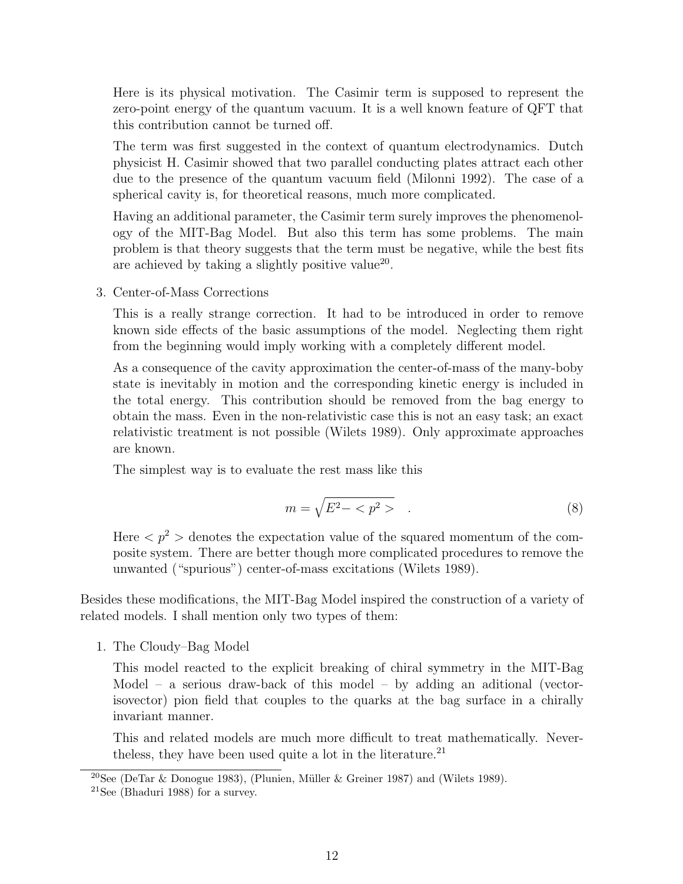Here is its physical motivation. The Casimir term is supposed to represent the zero-point energy of the quantum vacuum. It is a well known feature of QFT that this contribution cannot be turned off.

The term was first suggested in the context of quantum electrodynamics. Dutch physicist H. Casimir showed that two parallel conducting plates attract each other due to the presence of the quantum vacuum field (Milonni 1992). The case of a spherical cavity is, for theoretical reasons, much more complicated.

Having an additional parameter, the Casimir term surely improves the phenomenology of the MIT-Bag Model. But also this term has some problems. The main problem is that theory suggests that the term must be negative, while the best fits are achieved by taking a slightly positive value<sup>20</sup>.

3. Center-of-Mass Corrections

This is a really strange correction. It had to be introduced in order to remove known side effects of the basic assumptions of the model. Neglecting them right from the beginning would imply working with a completely different model.

As a consequence of the cavity approximation the center-of-mass of the many-boby state is inevitably in motion and the corresponding kinetic energy is included in the total energy. This contribution should be removed from the bag energy to obtain the mass. Even in the non-relativistic case this is not an easy task; an exact relativistic treatment is not possible (Wilets 1989). Only approximate approaches are known.

The simplest way is to evaluate the rest mass like this

$$
m = \sqrt{E^2 - \langle p^2 \rangle} \quad . \tag{8}
$$

Here  $\langle p^2 \rangle$  denotes the expectation value of the squared momentum of the composite system. There are better though more complicated procedures to remove the unwanted ("spurious") center-of-mass excitations (Wilets 1989).

Besides these modifications, the MIT-Bag Model inspired the construction of a variety of related models. I shall mention only two types of them:

1. The Cloudy–Bag Model

This model reacted to the explicit breaking of chiral symmetry in the MIT-Bag Model – a serious draw-back of this model – by adding an aditional (vectorisovector) pion field that couples to the quarks at the bag surface in a chirally invariant manner.

This and related models are much more difficult to treat mathematically. Nevertheless, they have been used quite a lot in the literature.<sup>21</sup>

 $20$ See (DeTar & Donogue 1983), (Plunien, Müller & Greiner 1987) and (Wilets 1989).

<sup>21</sup>See (Bhaduri 1988) for a survey.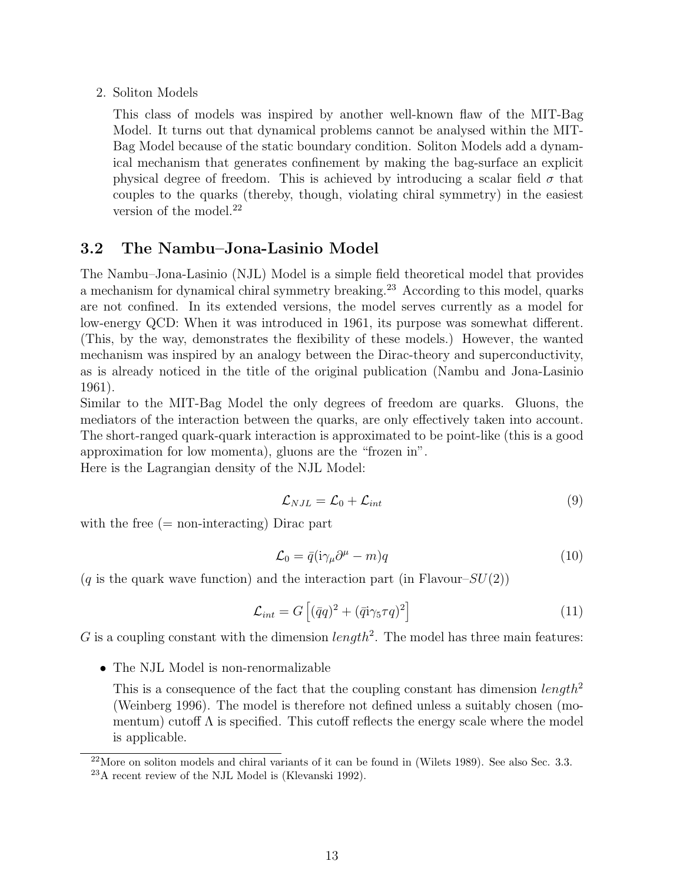#### 2. Soliton Models

This class of models was inspired by another well-known flaw of the MIT-Bag Model. It turns out that dynamical problems cannot be analysed within the MIT-Bag Model because of the static boundary condition. Soliton Models add a dynamical mechanism that generates confinement by making the bag-surface an explicit physical degree of freedom. This is achieved by introducing a scalar field  $\sigma$  that couples to the quarks (thereby, though, violating chiral symmetry) in the easiest version of the model.<sup>22</sup>

#### 3.2 The Nambu–Jona-Lasinio Model

The Nambu–Jona-Lasinio (NJL) Model is a simple field theoretical model that provides a mechanism for dynamical chiral symmetry breaking.<sup>23</sup> According to this model, quarks are not confined. In its extended versions, the model serves currently as a model for low-energy QCD: When it was introduced in 1961, its purpose was somewhat different. (This, by the way, demonstrates the flexibility of these models.) However, the wanted mechanism was inspired by an analogy between the Dirac-theory and superconductivity, as is already noticed in the title of the original publication (Nambu and Jona-Lasinio 1961).

Similar to the MIT-Bag Model the only degrees of freedom are quarks. Gluons, the mediators of the interaction between the quarks, are only effectively taken into account. The short-ranged quark-quark interaction is approximated to be point-like (this is a good approximation for low momenta), gluons are the "frozen in".

Here is the Lagrangian density of the NJL Model:

$$
\mathcal{L}_{NJL} = \mathcal{L}_0 + \mathcal{L}_{int} \tag{9}
$$

with the free  $(=$  non-interacting) Dirac part

$$
\mathcal{L}_0 = \bar{q} (i\gamma_\mu \partial^\mu - m) q \tag{10}
$$

 $(q$  is the quark wave function) and the interaction part (in Flavour– $SU(2)$ )

$$
\mathcal{L}_{int} = G\left[ (\bar{q}q)^2 + (\bar{q}i\gamma_5\tau q)^2 \right]
$$
 (11)

G is a coupling constant with the dimension  $length<sup>2</sup>$ . The model has three main features:

• The NJL Model is non-renormalizable

This is a consequence of the fact that the coupling constant has dimension  $length^2$ (Weinberg 1996). The model is therefore not defined unless a suitably chosen (momentum) cutoff  $\Lambda$  is specified. This cutoff reflects the energy scale where the model is applicable.

 $^{22}$ More on soliton models and chiral variants of it can be found in (Wilets 1989). See also Sec. 3.3. <sup>23</sup>A recent review of the NJL Model is (Klevanski 1992).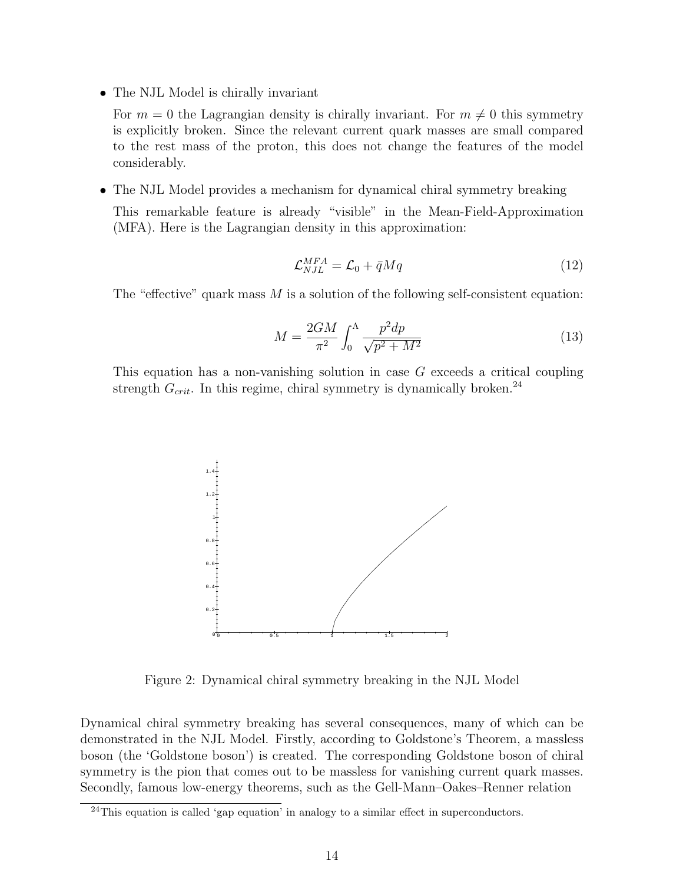• The NJL Model is chirally invariant

For  $m = 0$  the Lagrangian density is chirally invariant. For  $m \neq 0$  this symmetry is explicitly broken. Since the relevant current quark masses are small compared to the rest mass of the proton, this does not change the features of the model considerably.

• The NJL Model provides a mechanism for dynamical chiral symmetry breaking

This remarkable feature is already "visible" in the Mean-Field-Approximation (MFA). Here is the Lagrangian density in this approximation:

$$
\mathcal{L}_{NJL}^{MFA} = \mathcal{L}_0 + \bar{q}Mq \tag{12}
$$

The "effective" quark mass  $M$  is a solution of the following self-consistent equation:

$$
M = \frac{2GM}{\pi^2} \int_0^\Lambda \frac{p^2 dp}{\sqrt{p^2 + M^2}}\tag{13}
$$

This equation has a non-vanishing solution in case G exceeds a critical coupling strength  $G_{crit}$ . In this regime, chiral symmetry is dynamically broken.<sup>24</sup>



Figure 2: Dynamical chiral symmetry breaking in the NJL Model

Dynamical chiral symmetry breaking has several consequences, many of which can be demonstrated in the NJL Model. Firstly, according to Goldstone's Theorem, a massless boson (the 'Goldstone boson') is created. The corresponding Goldstone boson of chiral symmetry is the pion that comes out to be massless for vanishing current quark masses. Secondly, famous low-energy theorems, such as the Gell-Mann–Oakes–Renner relation

 $^{24}$ This equation is called 'gap equation' in analogy to a similar effect in superconductors.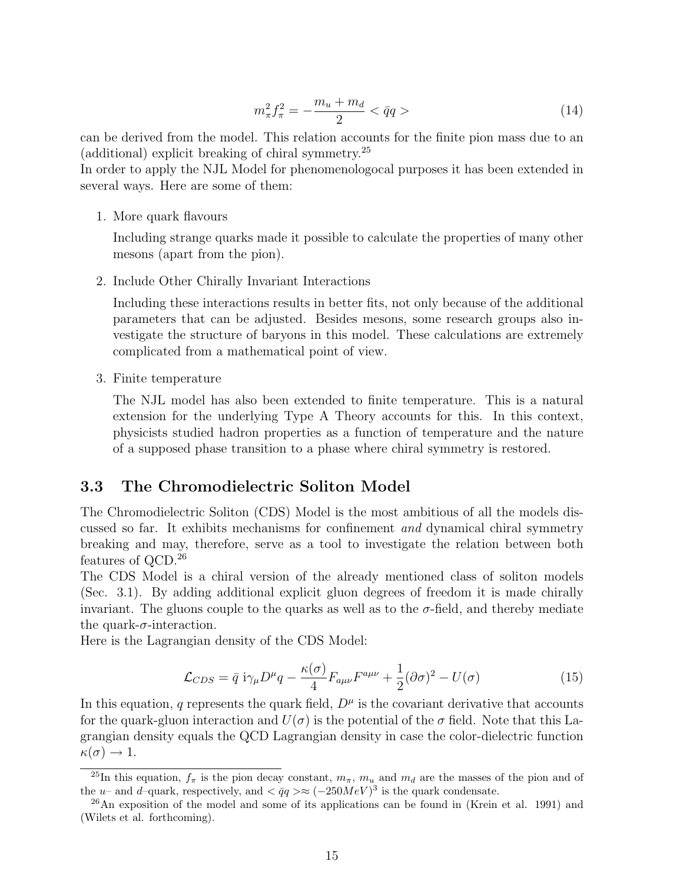$$
m_{\pi}^2 f_{\pi}^2 = -\frac{m_u + m_d}{2} < \bar{q}q > \tag{14}
$$

can be derived from the model. This relation accounts for the finite pion mass due to an (additional) explicit breaking of chiral symmetry.<sup>25</sup>

In order to apply the NJL Model for phenomenologocal purposes it has been extended in several ways. Here are some of them:

1. More quark flavours

Including strange quarks made it possible to calculate the properties of many other mesons (apart from the pion).

2. Include Other Chirally Invariant Interactions

Including these interactions results in better fits, not only because of the additional parameters that can be adjusted. Besides mesons, some research groups also investigate the structure of baryons in this model. These calculations are extremely complicated from a mathematical point of view.

3. Finite temperature

The NJL model has also been extended to finite temperature. This is a natural extension for the underlying Type A Theory accounts for this. In this context, physicists studied hadron properties as a function of temperature and the nature of a supposed phase transition to a phase where chiral symmetry is restored.

#### 3.3 The Chromodielectric Soliton Model

The Chromodielectric Soliton (CDS) Model is the most ambitious of all the models discussed so far. It exhibits mechanisms for confinement and dynamical chiral symmetry breaking and may, therefore, serve as a tool to investigate the relation between both features of QCD.<sup>26</sup>

The CDS Model is a chiral version of the already mentioned class of soliton models (Sec. 3.1). By adding additional explicit gluon degrees of freedom it is made chirally invariant. The gluons couple to the quarks as well as to the  $\sigma$ -field, and thereby mediate the quark- $\sigma$ -interaction.

Here is the Lagrangian density of the CDS Model:

$$
\mathcal{L}_{CDS} = \bar{q} i\gamma_{\mu} D^{\mu} q - \frac{\kappa(\sigma)}{4} F_{a\mu\nu} F^{a\mu\nu} + \frac{1}{2} (\partial \sigma)^2 - U(\sigma) \tag{15}
$$

In this equation, q represents the quark field,  $D^{\mu}$  is the covariant derivative that accounts for the quark-gluon interaction and  $U(\sigma)$  is the potential of the  $\sigma$  field. Note that this Lagrangian density equals the QCD Lagrangian density in case the color-dielectric function  $\kappa(\sigma) \to 1.$ 

<sup>&</sup>lt;sup>25</sup>In this equation,  $f_{\pi}$  is the pion decay constant,  $m_{\pi}$ ,  $m_u$  and  $m_d$  are the masses of the pion and of the u– and d–quark, respectively, and  $\langle \bar{q}q \rangle \approx (-250 MeV)^3$  is the quark condensate.

<sup>&</sup>lt;sup>26</sup>An exposition of the model and some of its applications can be found in (Krein et al. 1991) and (Wilets et al. forthcoming).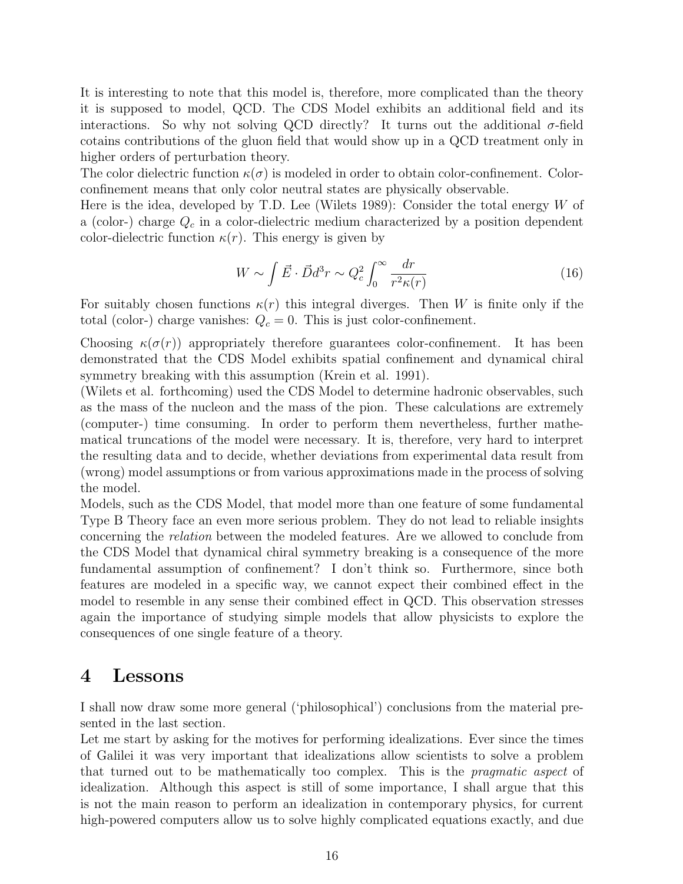It is interesting to note that this model is, therefore, more complicated than the theory it is supposed to model, QCD. The CDS Model exhibits an additional field and its interactions. So why not solving QCD directly? It turns out the additional  $\sigma$ -field cotains contributions of the gluon field that would show up in a QCD treatment only in higher orders of perturbation theory.

The color dielectric function  $\kappa(\sigma)$  is modeled in order to obtain color-confinement. Colorconfinement means that only color neutral states are physically observable.

Here is the idea, developed by T.D. Lee (Wilets 1989): Consider the total energy W of a (color-) charge  $Q_c$  in a color-dielectric medium characterized by a position dependent color-dielectric function  $\kappa(r)$ . This energy is given by

$$
W \sim \int \vec{E} \cdot \vec{D} d^3 r \sim Q_c^2 \int_0^\infty \frac{dr}{r^2 \kappa(r)}\tag{16}
$$

For suitably chosen functions  $\kappa(r)$  this integral diverges. Then W is finite only if the total (color-) charge vanishes:  $Q_c = 0$ . This is just color-confinement.

Choosing  $\kappa(\sigma(r))$  appropriately therefore guarantees color-confinement. It has been demonstrated that the CDS Model exhibits spatial confinement and dynamical chiral symmetry breaking with this assumption (Krein et al. 1991).

(Wilets et al. forthcoming) used the CDS Model to determine hadronic observables, such as the mass of the nucleon and the mass of the pion. These calculations are extremely (computer-) time consuming. In order to perform them nevertheless, further mathematical truncations of the model were necessary. It is, therefore, very hard to interpret the resulting data and to decide, whether deviations from experimental data result from (wrong) model assumptions or from various approximations made in the process of solving the model.

Models, such as the CDS Model, that model more than one feature of some fundamental Type B Theory face an even more serious problem. They do not lead to reliable insights concerning the relation between the modeled features. Are we allowed to conclude from the CDS Model that dynamical chiral symmetry breaking is a consequence of the more fundamental assumption of confinement? I don't think so. Furthermore, since both features are modeled in a specific way, we cannot expect their combined effect in the model to resemble in any sense their combined effect in QCD. This observation stresses again the importance of studying simple models that allow physicists to explore the consequences of one single feature of a theory.

### 4 Lessons

I shall now draw some more general ('philosophical') conclusions from the material presented in the last section.

Let me start by asking for the motives for performing idealizations. Ever since the times of Galilei it was very important that idealizations allow scientists to solve a problem that turned out to be mathematically too complex. This is the pragmatic aspect of idealization. Although this aspect is still of some importance, I shall argue that this is not the main reason to perform an idealization in contemporary physics, for current high-powered computers allow us to solve highly complicated equations exactly, and due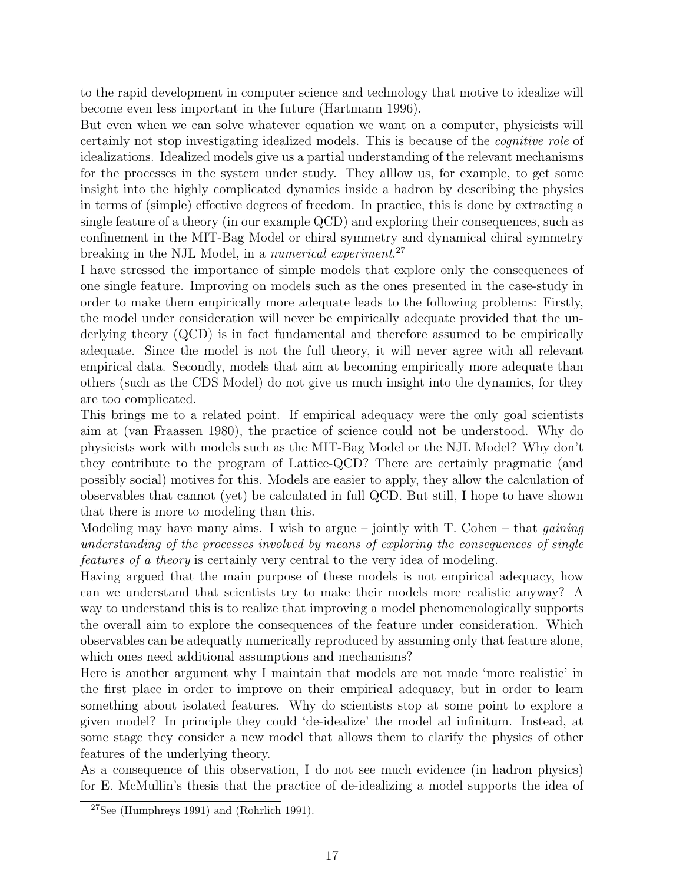to the rapid development in computer science and technology that motive to idealize will become even less important in the future (Hartmann 1996).

But even when we can solve whatever equation we want on a computer, physicists will certainly not stop investigating idealized models. This is because of the cognitive role of idealizations. Idealized models give us a partial understanding of the relevant mechanisms for the processes in the system under study. They alllow us, for example, to get some insight into the highly complicated dynamics inside a hadron by describing the physics in terms of (simple) effective degrees of freedom. In practice, this is done by extracting a single feature of a theory (in our example QCD) and exploring their consequences, such as confinement in the MIT-Bag Model or chiral symmetry and dynamical chiral symmetry breaking in the NJL Model, in a numerical experiment.<sup>27</sup>

I have stressed the importance of simple models that explore only the consequences of one single feature. Improving on models such as the ones presented in the case-study in order to make them empirically more adequate leads to the following problems: Firstly, the model under consideration will never be empirically adequate provided that the underlying theory (QCD) is in fact fundamental and therefore assumed to be empirically adequate. Since the model is not the full theory, it will never agree with all relevant empirical data. Secondly, models that aim at becoming empirically more adequate than others (such as the CDS Model) do not give us much insight into the dynamics, for they are too complicated.

This brings me to a related point. If empirical adequacy were the only goal scientists aim at (van Fraassen 1980), the practice of science could not be understood. Why do physicists work with models such as the MIT-Bag Model or the NJL Model? Why don't they contribute to the program of Lattice-QCD? There are certainly pragmatic (and possibly social) motives for this. Models are easier to apply, they allow the calculation of observables that cannot (yet) be calculated in full QCD. But still, I hope to have shown that there is more to modeling than this.

Modeling may have many aims. I wish to argue – jointly with  $T$ . Cohen – that *gaining* understanding of the processes involved by means of exploring the consequences of single features of a theory is certainly very central to the very idea of modeling.

Having argued that the main purpose of these models is not empirical adequacy, how can we understand that scientists try to make their models more realistic anyway? A way to understand this is to realize that improving a model phenomenologically supports the overall aim to explore the consequences of the feature under consideration. Which observables can be adequatly numerically reproduced by assuming only that feature alone, which ones need additional assumptions and mechanisms?

Here is another argument why I maintain that models are not made 'more realistic' in the first place in order to improve on their empirical adequacy, but in order to learn something about isolated features. Why do scientists stop at some point to explore a given model? In principle they could 'de-idealize' the model ad infinitum. Instead, at some stage they consider a new model that allows them to clarify the physics of other features of the underlying theory.

As a consequence of this observation, I do not see much evidence (in hadron physics) for E. McMullin's thesis that the practice of de-idealizing a model supports the idea of

 $27$ See (Humphreys 1991) and (Rohrlich 1991).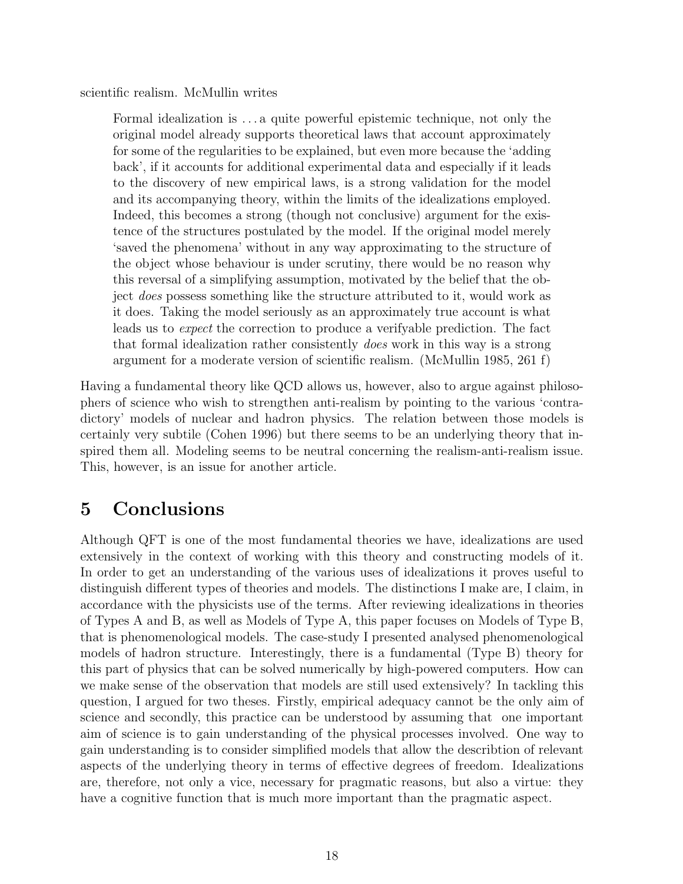scientific realism. McMullin writes

Formal idealization is . . . a quite powerful epistemic technique, not only the original model already supports theoretical laws that account approximately for some of the regularities to be explained, but even more because the 'adding back', if it accounts for additional experimental data and especially if it leads to the discovery of new empirical laws, is a strong validation for the model and its accompanying theory, within the limits of the idealizations employed. Indeed, this becomes a strong (though not conclusive) argument for the existence of the structures postulated by the model. If the original model merely 'saved the phenomena' without in any way approximating to the structure of the object whose behaviour is under scrutiny, there would be no reason why this reversal of a simplifying assumption, motivated by the belief that the object does possess something like the structure attributed to it, would work as it does. Taking the model seriously as an approximately true account is what leads us to expect the correction to produce a verifyable prediction. The fact that formal idealization rather consistently does work in this way is a strong argument for a moderate version of scientific realism. (McMullin 1985, 261 f)

Having a fundamental theory like QCD allows us, however, also to argue against philosophers of science who wish to strengthen anti-realism by pointing to the various 'contradictory' models of nuclear and hadron physics. The relation between those models is certainly very subtile (Cohen 1996) but there seems to be an underlying theory that inspired them all. Modeling seems to be neutral concerning the realism-anti-realism issue. This, however, is an issue for another article.

## 5 Conclusions

Although QFT is one of the most fundamental theories we have, idealizations are used extensively in the context of working with this theory and constructing models of it. In order to get an understanding of the various uses of idealizations it proves useful to distinguish different types of theories and models. The distinctions I make are, I claim, in accordance with the physicists use of the terms. After reviewing idealizations in theories of Types A and B, as well as Models of Type A, this paper focuses on Models of Type B, that is phenomenological models. The case-study I presented analysed phenomenological models of hadron structure. Interestingly, there is a fundamental (Type B) theory for this part of physics that can be solved numerically by high-powered computers. How can we make sense of the observation that models are still used extensively? In tackling this question, I argued for two theses. Firstly, empirical adequacy cannot be the only aim of science and secondly, this practice can be understood by assuming that one important aim of science is to gain understanding of the physical processes involved. One way to gain understanding is to consider simplified models that allow the describtion of relevant aspects of the underlying theory in terms of effective degrees of freedom. Idealizations are, therefore, not only a vice, necessary for pragmatic reasons, but also a virtue: they have a cognitive function that is much more important than the pragmatic aspect.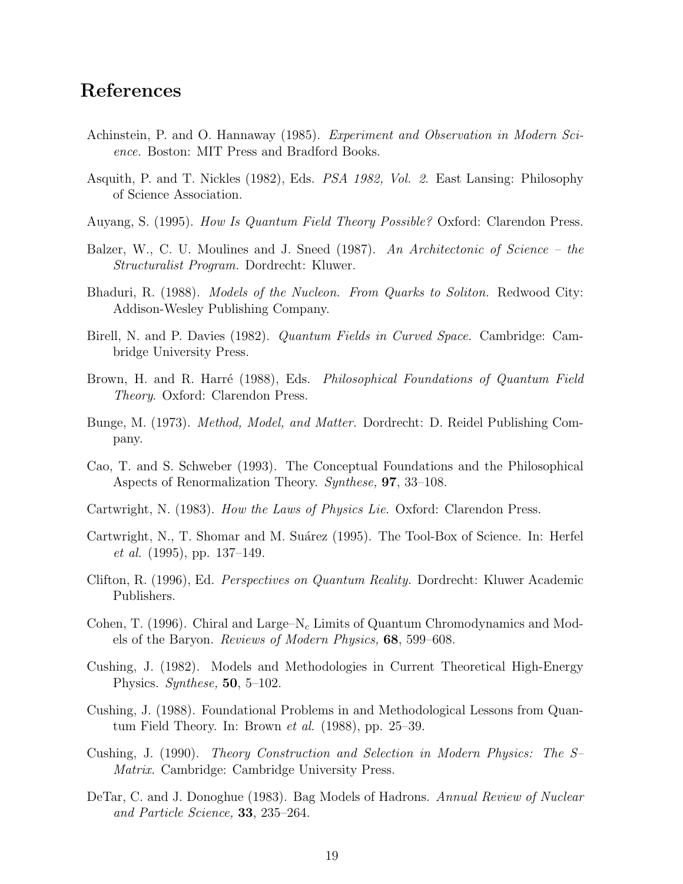### References

- Achinstein, P. and O. Hannaway (1985). Experiment and Observation in Modern Science. Boston: MIT Press and Bradford Books.
- Asquith, P. and T. Nickles (1982), Eds. PSA 1982, Vol. 2. East Lansing: Philosophy of Science Association.
- Auyang, S. (1995). How Is Quantum Field Theory Possible? Oxford: Clarendon Press.
- Balzer, W., C. U. Moulines and J. Sneed (1987). An Architectonic of Science the Structuralist Program. Dordrecht: Kluwer.
- Bhaduri, R. (1988). *Models of the Nucleon. From Quarks to Soliton.* Redwood City: Addison-Wesley Publishing Company.
- Birell, N. and P. Davies (1982). Quantum Fields in Curved Space. Cambridge: Cambridge University Press.
- Brown, H. and R. Harré (1988), Eds. *Philosophical Foundations of Quantum Field* Theory. Oxford: Clarendon Press.
- Bunge, M. (1973). Method, Model, and Matter. Dordrecht: D. Reidel Publishing Company.
- Cao, T. and S. Schweber (1993). The Conceptual Foundations and the Philosophical Aspects of Renormalization Theory. Synthese, 97, 33–108.
- Cartwright, N. (1983). How the Laws of Physics Lie. Oxford: Clarendon Press.
- Cartwright, N., T. Shomar and M. Suárez (1995). The Tool-Box of Science. In: Herfel et al. (1995), pp. 137–149.
- Clifton, R. (1996), Ed. Perspectives on Quantum Reality. Dordrecht: Kluwer Academic Publishers.
- Cohen, T. (1996). Chiral and Large–N<sub>c</sub> Limits of Quantum Chromodynamics and Models of the Baryon. Reviews of Modern Physics, 68, 599–608.
- Cushing, J. (1982). Models and Methodologies in Current Theoretical High-Energy Physics. Synthese, 50, 5–102.
- Cushing, J. (1988). Foundational Problems in and Methodological Lessons from Quantum Field Theory. In: Brown et al. (1988), pp. 25–39.
- Cushing, J. (1990). Theory Construction and Selection in Modern Physics: The S– Matrix. Cambridge: Cambridge University Press.
- DeTar, C. and J. Donoghue (1983). Bag Models of Hadrons. Annual Review of Nuclear and Particle Science, 33, 235–264.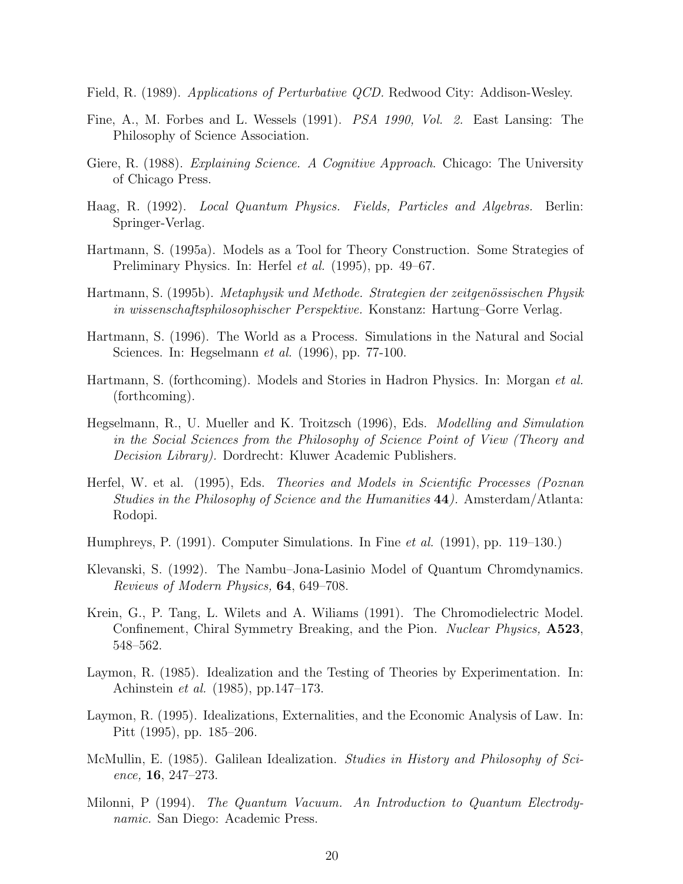- Field, R. (1989). Applications of Perturbative QCD. Redwood City: Addison-Wesley.
- Fine, A., M. Forbes and L. Wessels (1991). PSA 1990, Vol. 2. East Lansing: The Philosophy of Science Association.
- Giere, R. (1988). Explaining Science. A Cognitive Approach. Chicago: The University of Chicago Press.
- Haag, R. (1992). Local Quantum Physics. Fields, Particles and Algebras. Berlin: Springer-Verlag.
- Hartmann, S. (1995a). Models as a Tool for Theory Construction. Some Strategies of Preliminary Physics. In: Herfel *et al.* (1995), pp. 49–67.
- Hartmann, S. (1995b). Metaphysik und Methode. Strategien der zeitgenössischen Physik in wissenschaftsphilosophischer Perspektive. Konstanz: Hartung–Gorre Verlag.
- Hartmann, S. (1996). The World as a Process. Simulations in the Natural and Social Sciences. In: Hegselmann et al. (1996), pp. 77-100.
- Hartmann, S. (forthcoming). Models and Stories in Hadron Physics. In: Morgan et al. (forthcoming).
- Hegselmann, R., U. Mueller and K. Troitzsch (1996), Eds. Modelling and Simulation in the Social Sciences from the Philosophy of Science Point of View (Theory and Decision Library). Dordrecht: Kluwer Academic Publishers.
- Herfel, W. et al. (1995), Eds. Theories and Models in Scientific Processes (Poznan Studies in the Philosophy of Science and the Humanities 44). Amsterdam/Atlanta: Rodopi.
- Humphreys, P. (1991). Computer Simulations. In Fine et al. (1991), pp. 119–130.)
- Klevanski, S. (1992). The Nambu–Jona-Lasinio Model of Quantum Chromdynamics. Reviews of Modern Physics, 64, 649–708.
- Krein, G., P. Tang, L. Wilets and A. Wiliams (1991). The Chromodielectric Model. Confinement, Chiral Symmetry Breaking, and the Pion. Nuclear Physics, A523, 548–562.
- Laymon, R. (1985). Idealization and the Testing of Theories by Experimentation. In: Achinstein et al. (1985), pp.147–173.
- Laymon, R. (1995). Idealizations, Externalities, and the Economic Analysis of Law. In: Pitt (1995), pp. 185–206.
- McMullin, E. (1985). Galilean Idealization. Studies in History and Philosophy of Science, 16, 247–273.
- Milonni, P (1994). The Quantum Vacuum. An Introduction to Quantum Electrodynamic. San Diego: Academic Press.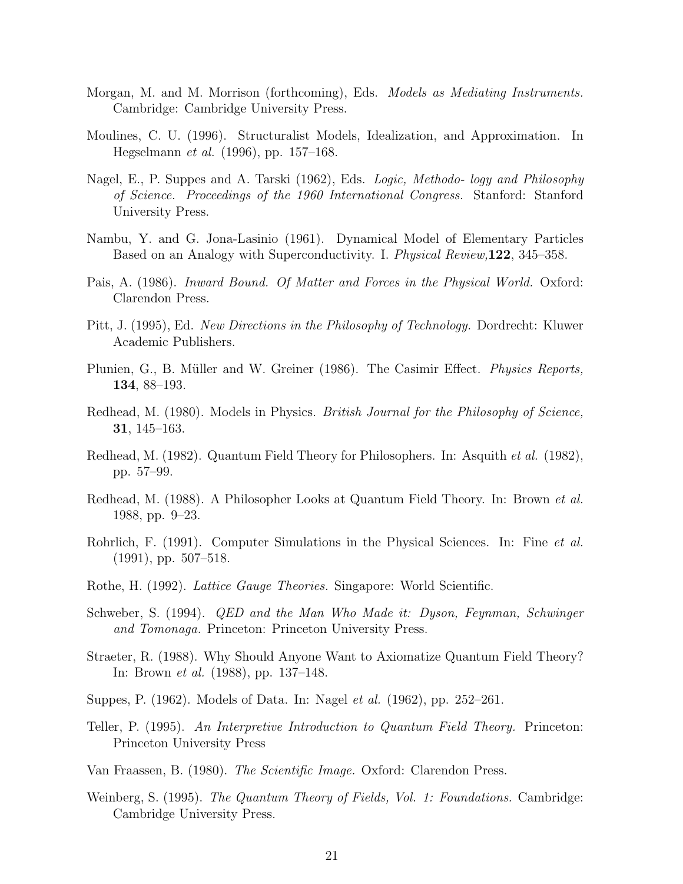- Morgan, M. and M. Morrison (forthcoming), Eds. Models as Mediating Instruments. Cambridge: Cambridge University Press.
- Moulines, C. U. (1996). Structuralist Models, Idealization, and Approximation. In Hegselmann et al. (1996), pp. 157–168.
- Nagel, E., P. Suppes and A. Tarski (1962), Eds. Logic, Methodo- logy and Philosophy of Science. Proceedings of the 1960 International Congress. Stanford: Stanford University Press.
- Nambu, Y. and G. Jona-Lasinio (1961). Dynamical Model of Elementary Particles Based on an Analogy with Superconductivity. I. Physical Review,122, 345–358.
- Pais, A. (1986). Inward Bound. Of Matter and Forces in the Physical World. Oxford: Clarendon Press.
- Pitt, J. (1995), Ed. New Directions in the Philosophy of Technology. Dordrecht: Kluwer Academic Publishers.
- Plunien, G., B. Müller and W. Greiner (1986). The Casimir Effect. *Physics Reports*, 134, 88–193.
- Redhead, M. (1980). Models in Physics. *British Journal for the Philosophy of Science*, 31, 145–163.
- Redhead, M. (1982). Quantum Field Theory for Philosophers. In: Asquith et al. (1982), pp. 57–99.
- Redhead, M. (1988). A Philosopher Looks at Quantum Field Theory. In: Brown et al. 1988, pp. 9–23.
- Rohrlich, F. (1991). Computer Simulations in the Physical Sciences. In: Fine *et al.* (1991), pp. 507–518.
- Rothe, H. (1992). Lattice Gauge Theories. Singapore: World Scientific.
- Schweber, S. (1994). QED and the Man Who Made it: Dyson, Feynman, Schwinger and Tomonaga. Princeton: Princeton University Press.
- Straeter, R. (1988). Why Should Anyone Want to Axiomatize Quantum Field Theory? In: Brown et al. (1988), pp. 137–148.
- Suppes, P. (1962). Models of Data. In: Nagel et al. (1962), pp. 252–261.
- Teller, P. (1995). An Interpretive Introduction to Quantum Field Theory. Princeton: Princeton University Press
- Van Fraassen, B. (1980). The Scientific Image. Oxford: Clarendon Press.
- Weinberg, S. (1995). The Quantum Theory of Fields, Vol. 1: Foundations. Cambridge: Cambridge University Press.